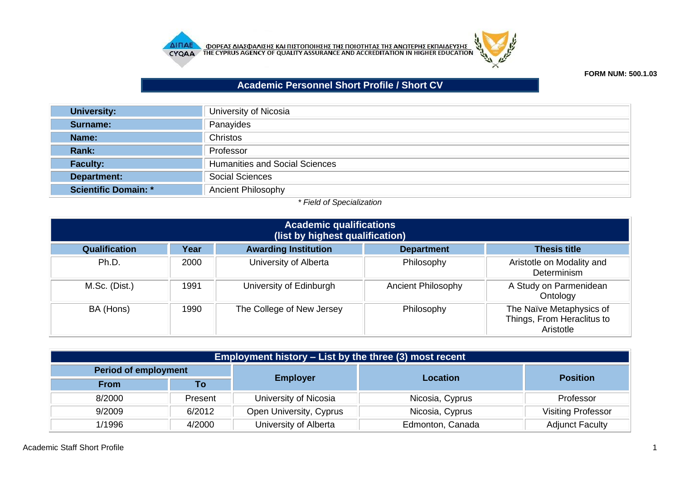



**FORM NUM: 500.1.03**

## **Academic Personnel Short Profile / Short CV**

| <b>University:</b>   | University of Nicosia                 |  |  |
|----------------------|---------------------------------------|--|--|
| Surname:             | Panayides                             |  |  |
| Name:                | Christos                              |  |  |
| Rank:                | Professor                             |  |  |
| <b>Faculty:</b>      | <b>Humanities and Social Sciences</b> |  |  |
| Department:          | <b>Social Sciences</b>                |  |  |
| Scientific Domain: * | <b>Ancient Philosophy</b>             |  |  |

## *\* Field of Specialization*

| <b>Academic qualifications</b><br>(list by highest qualification)                                       |      |                           |                           |                                                                     |  |  |  |  |
|---------------------------------------------------------------------------------------------------------|------|---------------------------|---------------------------|---------------------------------------------------------------------|--|--|--|--|
| <b>Awarding Institution</b><br><b>Qualification</b><br>Year<br><b>Thesis title</b><br><b>Department</b> |      |                           |                           |                                                                     |  |  |  |  |
| Ph.D.                                                                                                   | 2000 | University of Alberta     | Philosophy                | Aristotle on Modality and<br>Determinism                            |  |  |  |  |
| M.Sc. (Dist.)                                                                                           | 1991 | University of Edinburgh   | <b>Ancient Philosophy</b> | A Study on Parmenidean<br>Ontology                                  |  |  |  |  |
| BA (Hons)                                                                                               | 1990 | The College of New Jersey | Philosophy                | The Naïve Metaphysics of<br>Things, From Heraclitus to<br>Aristotle |  |  |  |  |

| Employment history – List by the three (3) most recent |                                 |                         |                  |                           |  |  |
|--------------------------------------------------------|---------------------------------|-------------------------|------------------|---------------------------|--|--|
| <b>Period of employment</b>                            |                                 |                         |                  | <b>Position</b>           |  |  |
| <b>From</b>                                            | Τo                              | <b>Employer</b>         | <b>Location</b>  |                           |  |  |
| 8/2000                                                 | Present                         | University of Nicosia   | Nicosia, Cyprus  | Professor                 |  |  |
| 9/2009                                                 | 6/2012                          | Open University, Cyprus | Nicosia, Cyprus  | <b>Visiting Professor</b> |  |  |
| 1/1996                                                 | University of Alberta<br>4/2000 |                         | Edmonton, Canada | <b>Adjunct Faculty</b>    |  |  |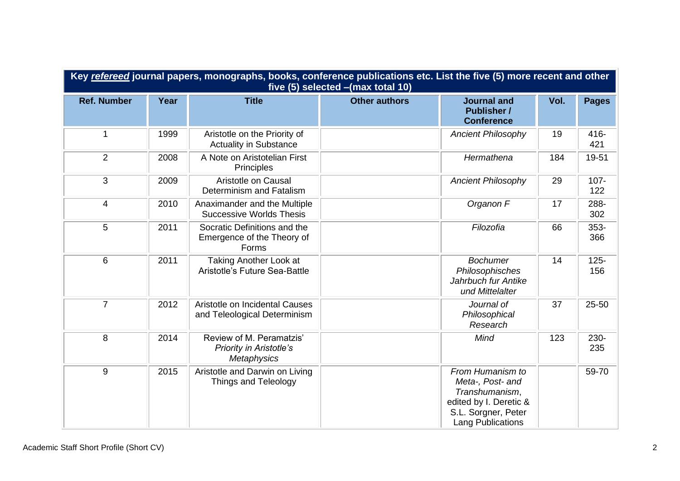| Key refereed journal papers, monographs, books, conference publications etc. List the five (5) more recent and other<br>five (5) selected - (max total 10) |      |                                                                                  |                      |                                                                                                                              |      |                |  |
|------------------------------------------------------------------------------------------------------------------------------------------------------------|------|----------------------------------------------------------------------------------|----------------------|------------------------------------------------------------------------------------------------------------------------------|------|----------------|--|
| <b>Ref. Number</b>                                                                                                                                         | Year | <b>Title</b>                                                                     | <b>Other authors</b> | <b>Journal and</b><br><b>Publisher /</b><br><b>Conference</b>                                                                | Vol. | <b>Pages</b>   |  |
| 1                                                                                                                                                          | 1999 | Aristotle on the Priority of<br><b>Actuality in Substance</b>                    |                      | <b>Ancient Philosophy</b>                                                                                                    | 19   | 416-<br>421    |  |
| 2                                                                                                                                                          | 2008 | A Note on Aristotelian First<br>Principles                                       |                      | Hermathena                                                                                                                   | 184  | 19-51          |  |
| 3                                                                                                                                                          | 2009 | Aristotle on Causal<br>Determinism and Fatalism                                  |                      | <b>Ancient Philosophy</b>                                                                                                    | 29   | $107 -$<br>122 |  |
| $\overline{4}$                                                                                                                                             | 2010 | Anaximander and the Multiple<br><b>Successive Worlds Thesis</b>                  |                      | Organon F                                                                                                                    | 17   | 288-<br>302    |  |
| 5                                                                                                                                                          | 2011 | Socratic Definitions and the<br>Emergence of the Theory of<br>Forms              |                      | Filozofia                                                                                                                    | 66   | 353-<br>366    |  |
| 6                                                                                                                                                          | 2011 | Taking Another Look at<br>Aristotle's Future Sea-Battle                          |                      | <b>Bochumer</b><br>Philosophisches<br>Jahrbuch fur Antike<br>und Mittelalter                                                 | 14   | $125 -$<br>156 |  |
| $\overline{7}$                                                                                                                                             | 2012 | Aristotle on Incidental Causes<br>and Teleological Determinism                   |                      | Journal of<br>Philosophical<br>Research                                                                                      | 37   | 25-50          |  |
| 8                                                                                                                                                          | 2014 | Review of M. Peramatzis'<br><b>Priority in Aristotle's</b><br><b>Metaphysics</b> |                      | Mind                                                                                                                         | 123  | 230-<br>235    |  |
| 9                                                                                                                                                          | 2015 | Aristotle and Darwin on Living<br>Things and Teleology                           |                      | From Humanism to<br>Meta-, Post- and<br>Transhumanism,<br>edited by I. Deretic &<br>S.L. Sorgner, Peter<br>Lang Publications |      | 59-70          |  |